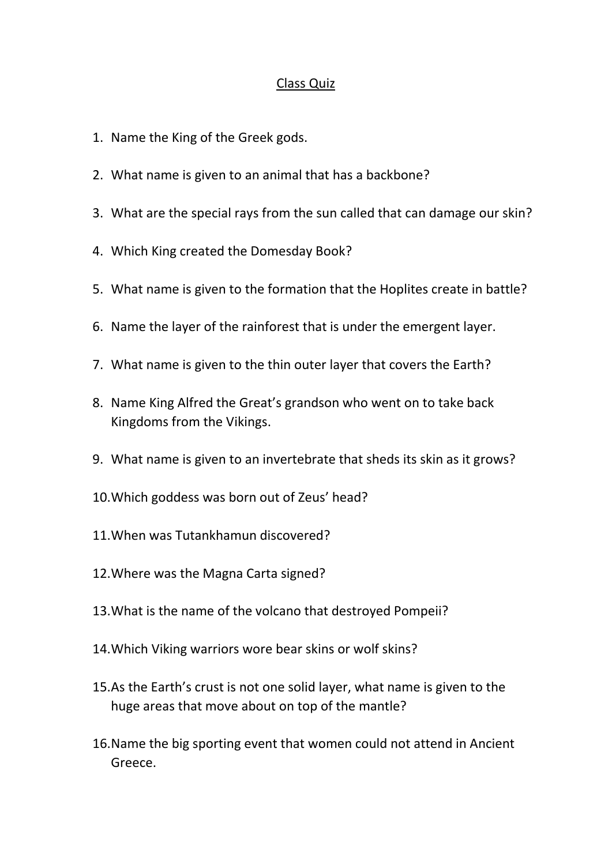## Class Quiz

- 1. Name the King of the Greek gods.
- 2. What name is given to an animal that has a backbone?
- 3. What are the special rays from the sun called that can damage our skin?
- 4. Which King created the Domesday Book?
- 5. What name is given to the formation that the Hoplites create in battle?
- 6. Name the layer of the rainforest that is under the emergent layer.
- 7. What name is given to the thin outer layer that covers the Earth?
- 8. Name King Alfred the Great's grandson who went on to take back Kingdoms from the Vikings.
- 9. What name is given to an invertebrate that sheds its skin as it grows?
- 10.Which goddess was born out of Zeus' head?
- 11.When was Tutankhamun discovered?
- 12.Where was the Magna Carta signed?
- 13.What is the name of the volcano that destroyed Pompeii?
- 14.Which Viking warriors wore bear skins or wolf skins?
- 15.As the Earth's crust is not one solid layer, what name is given to the huge areas that move about on top of the mantle?
- 16.Name the big sporting event that women could not attend in Ancient Greece.